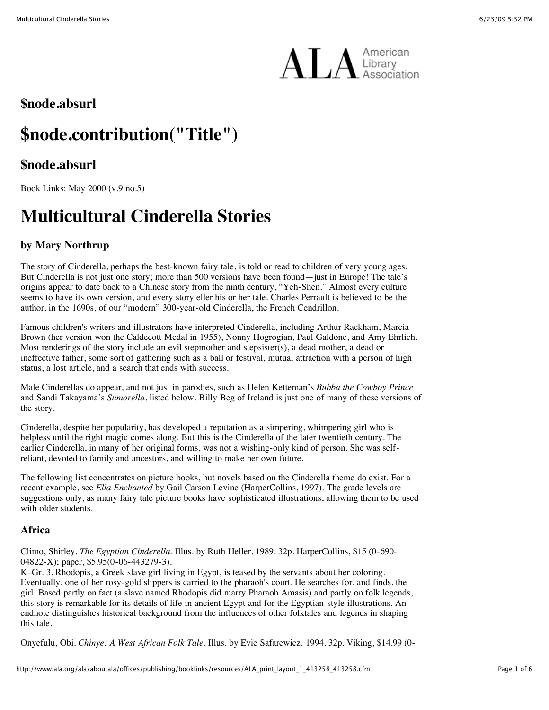

# **\$node.absurl**

# **\$node.contribution("Title")**

# **\$node.absurl**

Book Links: May 2000 (v.9 no.5)

# **Multicultural Cinderella Stories**

# **by Mary Northrup**

The story of Cinderella, perhaps the best-known fairy tale, is told or read to children of very young ages. But Cinderella is not just one story; more than 500 versions have been found—just in Europe! The tale's origins appear to date back to a Chinese story from the ninth century, "Yeh-Shen." Almost every culture seems to have its own version, and every storyteller his or her tale. Charles Perrault is believed to be the author, in the 1690s, of our "modern" 300-year-old Cinderella, the French Cendrillon.

Famous children's writers and illustrators have interpreted Cinderella, including Arthur Rackham, Marcia Brown (her version won the Caldecott Medal in 1955), Nonny Hogrogian, Paul Galdone, and Amy Ehrlich. Most renderings of the story include an evil stepmother and stepsister(s), a dead mother, a dead or ineffective father, some sort of gathering such as a ball or festival, mutual attraction with a person of high status, a lost article, and a search that ends with success.

Male Cinderellas do appear, and not just in parodies, such as Helen Ketteman's *Bubba the Cowboy Prince* and Sandi Takayama's *Sumorella*, listed below. Billy Beg of Ireland is just one of many of these versions of the story.

Cinderella, despite her popularity, has developed a reputation as a simpering, whimpering girl who is helpless until the right magic comes along. But this is the Cinderella of the later twentieth century. The earlier Cinderella, in many of her original forms, was not a wishing-only kind of person. She was selfreliant, devoted to family and ancestors, and willing to make her own future.

The following list concentrates on picture books, but novels based on the Cinderella theme do exist. For a recent example, see *Ella Enchanted* by Gail Carson Levine (HarperCollins, 1997). The grade levels are suggestions only, as many fairy tale picture books have sophisticated illustrations, allowing them to be used with older students.

# **Africa**

Climo, Shirley. *The Egyptian Cinderella*. Illus. by Ruth Heller. 1989. 32p. HarperCollins, \$15 (0-690- 04822-X); paper, \$5.95(0-06-443279-3).

K–Gr. 3. Rhodopis, a Greek slave girl living in Egypt, is teased by the servants about her coloring. Eventually, one of her rosy-gold slippers is carried to the pharaoh's court. He searches for, and finds, the girl. Based partly on fact (a slave named Rhodopis did marry Pharaoh Amasis) and partly on folk legends, this story is remarkable for its details of life in ancient Egypt and for the Egyptian-style illustrations. An endnote distinguishes historical background from the influences of other folktales and legends in shaping this tale.

Onyefulu, Obi. *Chinye: A West African Folk Tale*. Illus. by Evie Safarewicz. 1994. 32p. Viking, \$14.99 (0-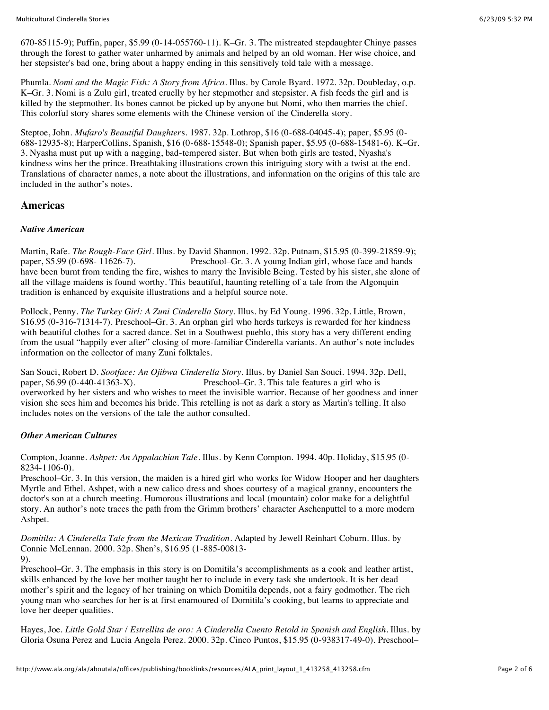Multicultural Cinderella Stories 6/23/09 5:32 PM

670-85115-9); Puffin, paper, \$5.99 (0-14-055760-11). K–Gr. 3. The mistreated stepdaughter Chinye passes through the forest to gather water unharmed by animals and helped by an old woman. Her wise choice, and her stepsister's bad one, bring about a happy ending in this sensitively told tale with a message.

Phumla. *Nomi and the Magic Fish: A Story from Africa*. Illus. by Carole Byard. 1972. 32p. Doubleday, o.p. K–Gr. 3. Nomi is a Zulu girl, treated cruelly by her stepmother and stepsister. A fish feeds the girl and is killed by the stepmother. Its bones cannot be picked up by anyone but Nomi, who then marries the chief. This colorful story shares some elements with the Chinese version of the Cinderella story.

Steptoe, John. *Mufaro's Beautiful Daughter*s. 1987. 32p. Lothrop, \$16 (0-688-04045-4); paper, \$5.95 (0- 688-12935-8); HarperCollins, Spanish, \$16 (0-688-15548-0); Spanish paper, \$5.95 (0-688-15481-6). K–Gr. 3. Nyasha must put up with a nagging, bad-tempered sister. But when both girls are tested, Nyasha's kindness wins her the prince. Breathtaking illustrations crown this intriguing story with a twist at the end. Translations of character names, a note about the illustrations, and information on the origins of this tale are included in the author's notes.

## **Americas**

#### *Native American*

Martin, Rafe. *The Rough-Face Girl*. Illus. by David Shannon. 1992. 32p. Putnam, \$15.95 (0-399-21859-9); Preschool–Gr. 3. A young Indian girl, whose face and hands have been burnt from tending the fire, wishes to marry the Invisible Being. Tested by his sister, she alone of all the village maidens is found worthy. This beautiful, haunting retelling of a tale from the Algonquin tradition is enhanced by exquisite illustrations and a helpful source note.

Pollock, Penny. *The Turkey Girl: A Zuni Cinderella Story*. Illus. by Ed Young. 1996. 32p. Little, Brown, \$16.95 (0-316-71314-7). Preschool–Gr. 3. An orphan girl who herds turkeys is rewarded for her kindness with beautiful clothes for a sacred dance. Set in a Southwest pueblo, this story has a very different ending from the usual "happily ever after" closing of more-familiar Cinderella variants. An author's note includes information on the collector of many Zuni folktales.

San Souci, Robert D. *Sootface: An Ojibwa Cinderella Story*. Illus. by Daniel San Souci. 1994. 32p. Dell, Preschool–Gr. 3. This tale features a girl who is overworked by her sisters and who wishes to meet the invisible warrior. Because of her goodness and inner vision she sees him and becomes his bride. This retelling is not as dark a story as Martin's telling. It also includes notes on the versions of the tale the author consulted.

#### *Other American Cultures*

Compton, Joanne. *Ashpet: An Appalachian Tale*. Illus. by Kenn Compton. 1994. 40p. Holiday, \$15.95 (0- 8234-1106-0).

Preschool–Gr. 3. In this version, the maiden is a hired girl who works for Widow Hooper and her daughters Myrtle and Ethel. Ashpet, with a new calico dress and shoes courtesy of a magical granny, encounters the doctor's son at a church meeting. Humorous illustrations and local (mountain) color make for a delightful story. An author's note traces the path from the Grimm brothers' character Aschenputtel to a more modern Ashpet.

*Domitila: A Cinderella Tale from the Mexican Tradition*. Adapted by Jewell Reinhart Coburn. Illus. by Connie McLennan. 2000. 32p. Shen's, \$16.95 (1-885-00813-

9).

Preschool–Gr. 3. The emphasis in this story is on Domitila's accomplishments as a cook and leather artist, skills enhanced by the love her mother taught her to include in every task she undertook. It is her dead mother's spirit and the legacy of her training on which Domitila depends, not a fairy godmother. The rich young man who searches for her is at first enamoured of Domitila's cooking, but learns to appreciate and love her deeper qualities.

Hayes, Joe. *Little Gold Star / Estrellita de oro: A Cinderella Cuento Retold in Spanish and English*. Illus. by Gloria Osuna Perez and Lucia Angela Perez. 2000. 32p. Cinco Puntos, \$15.95 (0-938317-49-0). Preschool–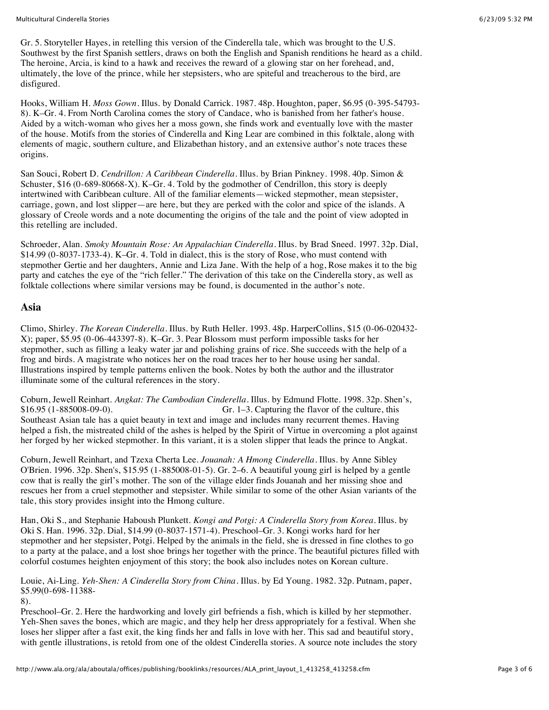Gr. 5. Storyteller Hayes, in retelling this version of the Cinderella tale, which was brought to the U.S. Southwest by the first Spanish settlers, draws on both the English and Spanish renditions he heard as a child. The heroine, Arcia, is kind to a hawk and receives the reward of a glowing star on her forehead, and, ultimately, the love of the prince, while her stepsisters, who are spiteful and treacherous to the bird, are disfigured.

Hooks, William H. *Moss Gown*. Illus. by Donald Carrick. 1987. 48p. Houghton, paper, \$6.95 (0-395-54793- 8). K–Gr. 4. From North Carolina comes the story of Candace, who is banished from her father's house. Aided by a witch-woman who gives her a moss gown, she finds work and eventually love with the master of the house. Motifs from the stories of Cinderella and King Lear are combined in this folktale, along with elements of magic, southern culture, and Elizabethan history, and an extensive author's note traces these origins.

San Souci, Robert D. *Cendrillon: A Caribbean Cinderella*. Illus. by Brian Pinkney. 1998. 40p. Simon & Schuster, \$16 (0-689-80668-X). K–Gr. 4. Told by the godmother of Cendrillon, this story is deeply intertwined with Caribbean culture. All of the familiar elements—wicked stepmother, mean stepsister, carriage, gown, and lost slipper—are here, but they are perked with the color and spice of the islands. A glossary of Creole words and a note documenting the origins of the tale and the point of view adopted in this retelling are included.

Schroeder, Alan. *Smoky Mountain Rose: An Appalachian Cinderella*. Illus. by Brad Sneed. 1997. 32p. Dial, \$14.99 (0-8037-1733-4). K–Gr. 4. Told in dialect, this is the story of Rose, who must contend with stepmother Gertie and her daughters, Annie and Liza Jane. With the help of a hog, Rose makes it to the big party and catches the eye of the "rich feller." The derivation of this take on the Cinderella story, as well as folktale collections where similar versions may be found, is documented in the author's note.

#### **Asia**

Climo, Shirley. *The Korean Cinderella*. Illus. by Ruth Heller. 1993. 48p. HarperCollins, \$15 (0-06-020432- X); paper, \$5.95 (0-06-443397-8). K–Gr. 3. Pear Blossom must perform impossible tasks for her stepmother, such as filling a leaky water jar and polishing grains of rice. She succeeds with the help of a frog and birds. A magistrate who notices her on the road traces her to her house using her sandal. Illustrations inspired by temple patterns enliven the book. Notes by both the author and the illustrator illuminate some of the cultural references in the story.

Coburn, Jewell Reinhart. *Angkat: The Cambodian Cinderella*. Illus. by Edmund Flotte. 1998. 32p. Shen's, \$16.95 (1-885008-09-0). Gr. 1–3. Capturing the flavor of the culture, this Southeast Asian tale has a quiet beauty in text and image and includes many recurrent themes. Having helped a fish, the mistreated child of the ashes is helped by the Spirit of Virtue in overcoming a plot against her forged by her wicked stepmother. In this variant, it is a stolen slipper that leads the prince to Angkat.

Coburn, Jewell Reinhart, and Tzexa Cherta Lee. *Jouanah: A Hmong Cinderella*. Illus. by Anne Sibley O'Brien. 1996. 32p. Shen's, \$15.95 (1-885008-01-5). Gr. 2–6. A beautiful young girl is helped by a gentle cow that is really the girl's mother. The son of the village elder finds Jouanah and her missing shoe and rescues her from a cruel stepmother and stepsister. While similar to some of the other Asian variants of the tale, this story provides insight into the Hmong culture.

Han, Oki S., and Stephanie Haboush Plunkett. *Kongi and Potgi: A Cinderella Story from Korea*. Illus. by Oki S. Han. 1996. 32p. Dial, \$14.99 (0-8037-1571-4). Preschool–Gr. 3. Kongi works hard for her stepmother and her stepsister, Potgi. Helped by the animals in the field, she is dressed in fine clothes to go to a party at the palace, and a lost shoe brings her together with the prince. The beautiful pictures filled with colorful costumes heighten enjoyment of this story; the book also includes notes on Korean culture.

Louie, Ai-Ling. *Yeh-Shen: A Cinderella Story from China*. Illus. by Ed Young. 1982. 32p. Putnam, paper, \$5.99(0-698-11388-

8).

Preschool–Gr. 2. Here the hardworking and lovely girl befriends a fish, which is killed by her stepmother. Yeh-Shen saves the bones, which are magic, and they help her dress appropriately for a festival. When she loses her slipper after a fast exit, the king finds her and falls in love with her. This sad and beautiful story, with gentle illustrations, is retold from one of the oldest Cinderella stories. A source note includes the story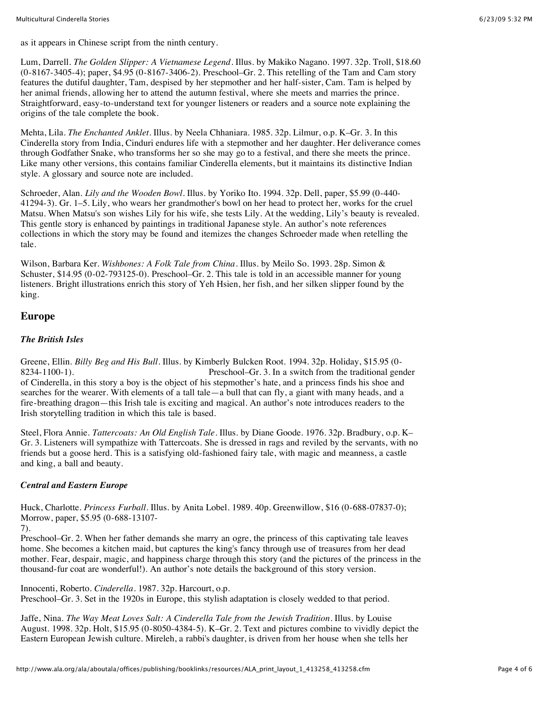Lum, Darrell. *The Golden Slipper: A Vietnamese Legend*. Illus. by Makiko Nagano. 1997. 32p. Troll, \$18.60 (0-8167-3405-4); paper, \$4.95 (0-8167-3406-2). Preschool–Gr. 2. This retelling of the Tam and Cam story features the dutiful daughter, Tam, despised by her stepmother and her half-sister, Cam. Tam is helped by her animal friends, allowing her to attend the autumn festival, where she meets and marries the prince. Straightforward, easy-to-understand text for younger listeners or readers and a source note explaining the origins of the tale complete the book.

Mehta, Lila. *The Enchanted Anklet*. Illus. by Neela Chhaniara. 1985. 32p. Lilmur, o.p. K–Gr. 3. In this Cinderella story from India, Cinduri endures life with a stepmother and her daughter. Her deliverance comes through Godfather Snake, who transforms her so she may go to a festival, and there she meets the prince. Like many other versions, this contains familiar Cinderella elements, but it maintains its distinctive Indian style. A glossary and source note are included.

Schroeder, Alan. *Lily and the Wooden Bowl*. Illus. by Yoriko Ito. 1994. 32p. Dell, paper, \$5.99 (0-440- 41294-3). Gr. 1–5. Lily, who wears her grandmother's bowl on her head to protect her, works for the cruel Matsu. When Matsu's son wishes Lily for his wife, she tests Lily. At the wedding, Lily's beauty is revealed. This gentle story is enhanced by paintings in traditional Japanese style. An author's note references collections in which the story may be found and itemizes the changes Schroeder made when retelling the tale.

Wilson, Barbara Ker. *Wishbones: A Folk Tale from China*. Illus. by Meilo So. 1993. 28p. Simon & Schuster, \$14.95 (0-02-793125-0). Preschool–Gr. 2. This tale is told in an accessible manner for young listeners. Bright illustrations enrich this story of Yeh Hsien, her fish, and her silken slipper found by the king.

## **Europe**

#### *The British Isles*

Greene, Ellin. *Billy Beg and His Bull*. Illus. by Kimberly Bulcken Root. 1994. 32p. Holiday, \$15.95 (0- 8234-1100-1). Preschool–Gr. 3. In a switch from the traditional gender of Cinderella, in this story a boy is the object of his stepmother's hate, and a princess finds his shoe and searches for the wearer. With elements of a tall tale—a bull that can fly, a giant with many heads, and a fire-breathing dragon—this Irish tale is exciting and magical. An author's note introduces readers to the Irish storytelling tradition in which this tale is based.

Steel, Flora Annie. *Tattercoats: An Old English Tale*. Illus. by Diane Goode. 1976. 32p. Bradbury, o.p. K– Gr. 3. Listeners will sympathize with Tattercoats. She is dressed in rags and reviled by the servants, with no friends but a goose herd. This is a satisfying old-fashioned fairy tale, with magic and meanness, a castle and king, a ball and beauty.

#### *Central and Eastern Europe*

Huck, Charlotte. *Princess Furball*. Illus. by Anita Lobel. 1989. 40p. Greenwillow, \$16 (0-688-07837-0); Morrow, paper, \$5.95 (0-688-13107-

Preschool–Gr. 2. When her father demands she marry an ogre, the princess of this captivating tale leaves home. She becomes a kitchen maid, but captures the king's fancy through use of treasures from her dead mother. Fear, despair, magic, and happiness charge through this story (and the pictures of the princess in the thousand-fur coat are wonderful!). An author's note details the background of this story version.

Innocenti, Roberto. *Cinderella*. 1987. 32p. Harcourt, o.p. Preschool–Gr. 3. Set in the 1920s in Europe, this stylish adaptation is closely wedded to that period.

Jaffe, Nina. *The Way Meat Loves Salt: A Cinderella Tale from the Jewish Tradition*. Illus. by Louise August. 1998. 32p. Holt, \$15.95 (0-8050-4384-5). K–Gr. 2. Text and pictures combine to vividly depict the Eastern European Jewish culture. Mireleh, a rabbi's daughter, is driven from her house when she tells her

<sup>7).</sup>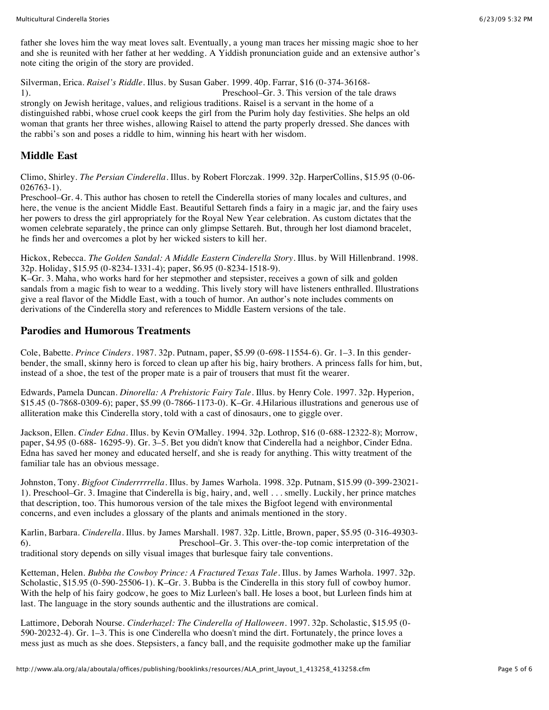father she loves him the way meat loves salt. Eventually, a young man traces her missing magic shoe to her and she is reunited with her father at her wedding. A Yiddish pronunciation guide and an extensive author's note citing the origin of the story are provided.

Silverman, Erica. *Raisel's Riddle*. Illus. by Susan Gaber. 1999. 40p. Farrar, \$16 (0-374-36168- 1). Preschool–Gr. 3. This version of the tale draws strongly on Jewish heritage, values, and religious traditions. Raisel is a servant in the home of a distinguished rabbi, whose cruel cook keeps the girl from the Purim holy day festivities. She helps an old woman that grants her three wishes, allowing Raisel to attend the party properly dressed. She dances with the rabbi's son and poses a riddle to him, winning his heart with her wisdom.

## **Middle East**

Climo, Shirley. *The Persian Cinderella*. Illus. by Robert Florczak. 1999. 32p. HarperCollins, \$15.95 (0-06- 026763-1).

Preschool–Gr. 4. This author has chosen to retell the Cinderella stories of many locales and cultures, and here, the venue is the ancient Middle East. Beautiful Settareh finds a fairy in a magic jar, and the fairy uses her powers to dress the girl appropriately for the Royal New Year celebration. As custom dictates that the women celebrate separately, the prince can only glimpse Settareh. But, through her lost diamond bracelet, he finds her and overcomes a plot by her wicked sisters to kill her.

Hickox, Rebecca. *The Golden Sandal: A Middle Eastern Cinderella Story*. Illus. by Will Hillenbrand. 1998. 32p. Holiday, \$15.95 (0-8234-1331-4); paper, \$6.95 (0-8234-1518-9).

K–Gr. 3. Maha, who works hard for her stepmother and stepsister, receives a gown of silk and golden sandals from a magic fish to wear to a wedding. This lively story will have listeners enthralled. Illustrations give a real flavor of the Middle East, with a touch of humor. An author's note includes comments on derivations of the Cinderella story and references to Middle Eastern versions of the tale.

#### **Parodies and Humorous Treatments**

Cole, Babette. *Prince Cinders*. 1987. 32p. Putnam, paper, \$5.99 (0-698-11554-6). Gr. 1–3. In this genderbender, the small, skinny hero is forced to clean up after his big, hairy brothers. A princess falls for him, but, instead of a shoe, the test of the proper mate is a pair of trousers that must fit the wearer.

Edwards, Pamela Duncan. *Dinorella: A Prehistoric Fairy Tale*. Illus. by Henry Cole. 1997. 32p. Hyperion, \$15.45 (0-7868-0309-6); paper, \$5.99 (0-7866-1173-0). K–Gr. 4.Hilarious illustrations and generous use of alliteration make this Cinderella story, told with a cast of dinosaurs, one to giggle over.

Jackson, Ellen. *Cinder Edna*. Illus. by Kevin O'Malley. 1994. 32p. Lothrop, \$16 (0-688-12322-8); Morrow, paper, \$4.95 (0-688- 16295-9). Gr. 3–5. Bet you didn't know that Cinderella had a neighbor, Cinder Edna. Edna has saved her money and educated herself, and she is ready for anything. This witty treatment of the familiar tale has an obvious message.

Johnston, Tony. *Bigfoot Cinderrrrrella*. Illus. by James Warhola. 1998. 32p. Putnam, \$15.99 (0-399-23021- 1). Preschool–Gr. 3. Imagine that Cinderella is big, hairy, and, well . . . smelly. Luckily, her prince matches that description, too. This humorous version of the tale mixes the Bigfoot legend with environmental concerns, and even includes a glossary of the plants and animals mentioned in the story.

Karlin, Barbara. *Cinderella*. Illus. by James Marshall. 1987. 32p. Little, Brown, paper, \$5.95 (0-316-49303- 6). Preschool–Gr. 3. This over-the-top comic interpretation of the traditional story depends on silly visual images that burlesque fairy tale conventions.

Ketteman, Helen. *Bubba the Cowboy Prince: A Fractured Texas Tale*. Illus. by James Warhola. 1997. 32p. Scholastic, \$15.95 (0-590-25506-1). K–Gr. 3. Bubba is the Cinderella in this story full of cowboy humor. With the help of his fairy godcow, he goes to Miz Lurleen's ball. He loses a boot, but Lurleen finds him at last. The language in the story sounds authentic and the illustrations are comical.

Lattimore, Deborah Nourse. *Cinderhazel: The Cinderella of Halloween*. 1997. 32p. Scholastic, \$15.95 (0- 590-20232-4). Gr. 1–3. This is one Cinderella who doesn't mind the dirt. Fortunately, the prince loves a mess just as much as she does. Stepsisters, a fancy ball, and the requisite godmother make up the familiar